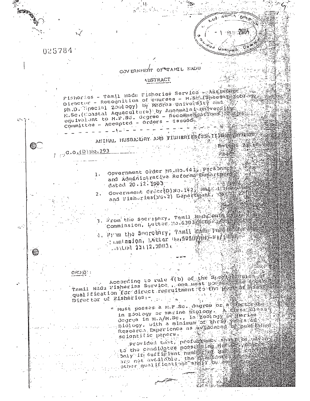025784 الْبَارْيَةِ يَوْرُوْنَ بِلْهِ GOVERNMENT OF TATAMIL NADU **ALISTRACT** Pishories - Tamil Hadu Pishories Service - Assistant Diractur - Recounition of courses - M.Sc. (Spectar) corony ph.D. Special Zoology) by Madras University and H.Sc. (Coastal Aquaculture) by Announaln hamily englished equivalent to M.F.Sc. degree - Recommendations Committee - Accepted - Orders - Issued 公然 ANINAL HUSBAIDRY AND FISHERIES (2S. II DESENSITY  $-$  De test  $-24-10$  $\mathbb{C}$  .  $100.0(2)10.293$ Government Order MS.Ho.441 Personnet and Administrative Reforme percent  $1.$ dated 20.12.1993 Government Order(D)No. 142 magazing and Fish-ries(F5,2) Department, 1998  $2 \cdot$ 3. Drom the Secreptry, Tam11 Madu Puis Commission, Lutter No. 6303 mm  $\hat{G}_{\rm{eff}}$ 4. Terrin the Seerobery, Tamil Barn pull Boy - Lamtniston, Dutter University的第三年表示  $-4.44400$   $-23442$ ,  $2003$  cm <u> ၉၉၁ (၁)</u> -According to rule (b) of the Specific Specific of the Specific port of the fight of the fight of the fight of qualification for direct recruitment to the press in the Director of Eisheries :-niology, with a minimum be the is well speed to the scientific papers. Provided to the profunction shape be developed to the candidated poor of ind management of the candidated poor of the state of the candidate of the state of other qual if Ications and I be so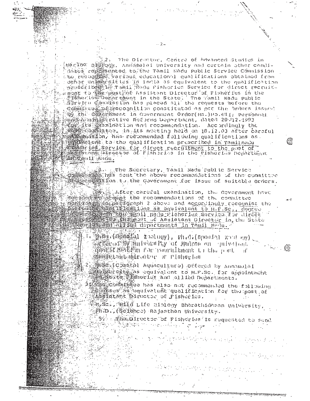The Director, Centre of Advanced Stadies in Merine Distogy, Annamalai University and certain other candihates re機器多dmtod to the Tamil Radu public Service Commission tto recognize Various educational qualifications obtained from dehor unanarattus in india as equivalent to the qualification<br>praseribearia ramil Radu Pisharies Service for direct recruit. ,新闻运输性 毛口 機構更 网络stweet Assistant Director of Pisheries in the Sysheries Defartment in the State. The Tamil Nadu public committed possesses and the possible of the second orders issued OS the Colernment in Government Order(Ms.)Po.441, Personnal - sen@pdy(na的) Strative Reforms Department, dated 20-412-1993 en a conduction and recommendation. Accordingly the ్చా stations as the second following qualifications as a strated to the qualification prescribed in ramilnadu<br>Strategie is Service for direct recruitment to the post of Million 11 Angu.

 $-2-$ 

on Bary and Secretary, Tamil Nadu Public Service<br>2019年5月20日 hes sent the above recommendations of the committee of suitable orders. The covernment for issue of suitable orders.

Soc. After careful examination, the Government have ကြွင့် ပြင်ကြိုးမြှာ ပြင်လုပ်နှင့် The recommendations of the committed ment on the participant of the cordinative recognize the service of the cordination of the cordination of the cordination of the cordination of the cordination of the cordination of the cordination of the cordination of th pashoring and an iopactments in Tamil Madu.

2000年4

 $\text{diag.}\left(\text{diag}(\text{a})\mid \text{z} \text{ and } \text{c}(\text{y})\right), \text{ and }\left(\text{span}(\text{y})\mid \text{z}(\text{y})\mid \text{c}(\text{y})\right)_{\text{c}(\text{y})}$ SALLAR OF THE CONTRACTORY OF MORTON ON PHILAD OIL ⋐ 道路線電 的选择的 Por rountillumint to the poet. тľ MORE CONSTRUCTION OF PIONOLION

29000 / CDastal Aquaculture) Offered by Annomalai standardity ha equivalent to M.P.Sc. for appointment<br>Magnetic profilencies and allied Departments.

stee committee has also not recommended the following **SERVIES State And Walent qualification for the post of** Assistatant Director of Fisherics.

A M Sc. , Wild Life Biblogy Bharathidasan University, Ph.D., (Scionce) Rajasthan University.

5% a mine birector of Fisheries is mequested to send 高温中心

ਗ਼੶੶੶੶ਲ਼ਲ਼*ਖ਼ਲ਼ਲ਼ਲ਼ਲ਼ਲ਼ਲ਼ਲ਼ਲ਼ਲ਼*ਖ਼ਲ਼ਲ਼ਲ਼ਲ਼ਲ਼ਲ਼